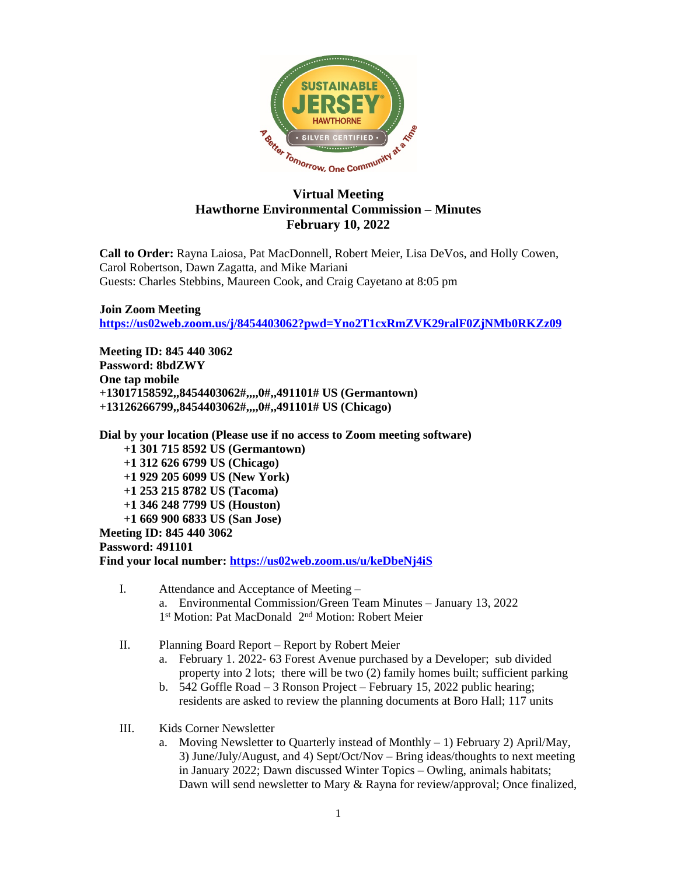

## **Virtual Meeting Hawthorne Environmental Commission – Minutes February 10, 2022**

**Call to Order:** Rayna Laiosa, Pat MacDonnell, Robert Meier, Lisa DeVos, and Holly Cowen, Carol Robertson, Dawn Zagatta, and Mike Mariani Guests: Charles Stebbins, Maureen Cook, and Craig Cayetano at 8:05 pm

**Join Zoom Meeting <https://us02web.zoom.us/j/8454403062?pwd=Yno2T1cxRmZVK29ralF0ZjNMb0RKZz09>**

**Meeting ID: 845 440 3062 Password: 8bdZWY One tap mobile +13017158592,,8454403062#,,,,0#,,491101# US (Germantown) +13126266799,,8454403062#,,,,0#,,491101# US (Chicago)**

**Dial by your location (Please use if no access to Zoom meeting software)**

 **+1 301 715 8592 US (Germantown)**

 **+1 312 626 6799 US (Chicago)**

 **+1 929 205 6099 US (New York)**

- **+1 253 215 8782 US (Tacoma)**
- **+1 346 248 7799 US (Houston)**
- **+1 669 900 6833 US (San Jose)**

**Meeting ID: 845 440 3062**

**Password: 491101**

**Find your local number: <https://us02web.zoom.us/u/keDbeNj4iS>**

- I. Attendance and Acceptance of Meeting a. Environmental Commission/Green Team Minutes – January 13, 2022 1<sup>st</sup> Motion: Pat MacDonald 2<sup>nd</sup> Motion: Robert Meier
- II. Planning Board Report Report by Robert Meier
	- a. February 1. 2022- 63 Forest Avenue purchased by a Developer; sub divided property into 2 lots; there will be two (2) family homes built; sufficient parking
	- b. 542 Goffle Road 3 Ronson Project February 15, 2022 public hearing; residents are asked to review the planning documents at Boro Hall; 117 units
- III. Kids Corner Newsletter
	- a. Moving Newsletter to Quarterly instead of Monthly  $-1$ ) February 2) April/May, 3) June/July/August, and 4) Sept/Oct/Nov – Bring ideas/thoughts to next meeting in January 2022; Dawn discussed Winter Topics – Owling, animals habitats; Dawn will send newsletter to Mary & Rayna for review/approval; Once finalized,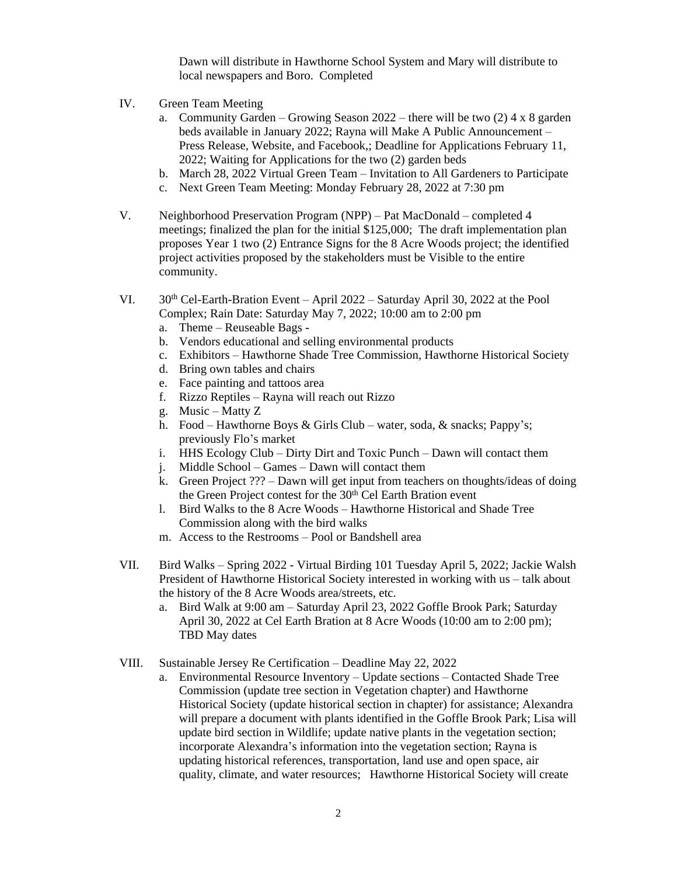Dawn will distribute in Hawthorne School System and Mary will distribute to local newspapers and Boro. Completed

- IV. Green Team Meeting
	- a. Community Garden Growing Season  $2022$  there will be two (2) 4 x 8 garden beds available in January 2022; Rayna will Make A Public Announcement – Press Release, Website, and Facebook,; Deadline for Applications February 11, 2022; Waiting for Applications for the two (2) garden beds
	- b. March 28, 2022 Virtual Green Team Invitation to All Gardeners to Participate
	- c. Next Green Team Meeting: Monday February 28, 2022 at 7:30 pm
- V. Neighborhood Preservation Program (NPP) Pat MacDonald completed 4 meetings; finalized the plan for the initial \$125,000; The draft implementation plan proposes Year 1 two (2) Entrance Signs for the 8 Acre Woods project; the identified project activities proposed by the stakeholders must be Visible to the entire community.
- VI. 30th Cel-Earth-Bration Event April 2022 Saturday April 30, 2022 at the Pool Complex; Rain Date: Saturday May 7, 2022; 10:00 am to 2:00 pm
	- a. Theme Reuseable Bags -
	- b. Vendors educational and selling environmental products
	- c. Exhibitors Hawthorne Shade Tree Commission, Hawthorne Historical Society
	- d. Bring own tables and chairs
	- e. Face painting and tattoos area
	- f. Rizzo Reptiles Rayna will reach out Rizzo
	- g. Music Matty Z
	- h. Food Hawthorne Boys & Girls Club water, soda, & snacks; Pappy's; previously Flo's market
	- i. HHS Ecology Club Dirty Dirt and Toxic Punch Dawn will contact them
	- j. Middle School Games Dawn will contact them
	- k. Green Project ??? Dawn will get input from teachers on thoughts/ideas of doing the Green Project contest for the 30<sup>th</sup> Cel Earth Bration event
	- l. Bird Walks to the 8 Acre Woods Hawthorne Historical and Shade Tree Commission along with the bird walks
	- m. Access to the Restrooms Pool or Bandshell area
- VII. Bird Walks Spring 2022 Virtual Birding 101 Tuesday April 5, 2022; Jackie Walsh President of Hawthorne Historical Society interested in working with us – talk about the history of the 8 Acre Woods area/streets, etc.
	- a. Bird Walk at 9:00 am Saturday April 23, 2022 Goffle Brook Park; Saturday April 30, 2022 at Cel Earth Bration at 8 Acre Woods (10:00 am to 2:00 pm); TBD May dates
- VIII. Sustainable Jersey Re Certification Deadline May 22, 2022
	- a. Environmental Resource Inventory Update sections Contacted Shade Tree Commission (update tree section in Vegetation chapter) and Hawthorne Historical Society (update historical section in chapter) for assistance; Alexandra will prepare a document with plants identified in the Goffle Brook Park; Lisa will update bird section in Wildlife; update native plants in the vegetation section; incorporate Alexandra's information into the vegetation section; Rayna is updating historical references, transportation, land use and open space, air quality, climate, and water resources; Hawthorne Historical Society will create